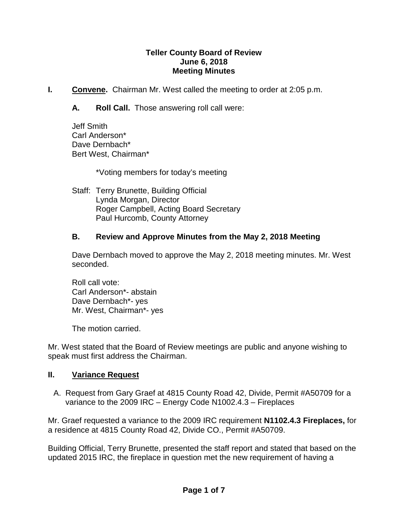### **Teller County Board of Review June 6, 2018 Meeting Minutes**

- **I. Convene.** Chairman Mr. West called the meeting to order at 2:05 p.m.
	- **A. Roll Call.** Those answering roll call were:

Jeff Smith Carl Anderson\* Dave Dernbach\* Bert West, Chairman\*

\*Voting members for today's meeting

Staff: Terry Brunette, Building Official Lynda Morgan, Director Roger Campbell, Acting Board Secretary Paul Hurcomb, County Attorney

### **B. Review and Approve Minutes from the May 2, 2018 Meeting**

Dave Dernbach moved to approve the May 2, 2018 meeting minutes. Mr. West seconded.

Roll call vote: Carl Anderson\*- abstain Dave Dernbach\*- yes Mr. West, Chairman\*- yes

The motion carried.

Mr. West stated that the Board of Review meetings are public and anyone wishing to speak must first address the Chairman.

#### **II. Variance Request**

A. Request from Gary Graef at 4815 County Road 42, Divide, Permit #A50709 for a variance to the 2009 IRC – Energy Code N1002.4.3 – Fireplaces

Mr. Graef requested a variance to the 2009 IRC requirement **N1102.4.3 Fireplaces,** for a residence at 4815 County Road 42, Divide CO., Permit #A50709.

Building Official, Terry Brunette, presented the staff report and stated that based on the updated 2015 IRC, the fireplace in question met the new requirement of having a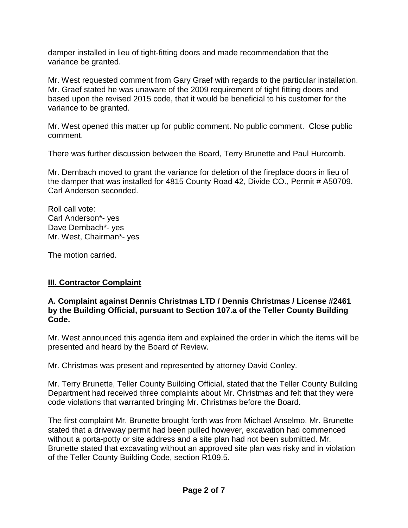damper installed in lieu of tight-fitting doors and made recommendation that the variance be granted.

Mr. West requested comment from Gary Graef with regards to the particular installation. Mr. Graef stated he was unaware of the 2009 requirement of tight fitting doors and based upon the revised 2015 code, that it would be beneficial to his customer for the variance to be granted.

Mr. West opened this matter up for public comment. No public comment. Close public comment.

There was further discussion between the Board, Terry Brunette and Paul Hurcomb.

Mr. Dernbach moved to grant the variance for deletion of the fireplace doors in lieu of the damper that was installed for 4815 County Road 42, Divide CO., Permit # A50709. Carl Anderson seconded.

Roll call vote: Carl Anderson\*- yes Dave Dernbach\*- yes Mr. West, Chairman\*- yes

The motion carried.

# **III. Contractor Complaint**

### **A. Complaint against Dennis Christmas LTD / Dennis Christmas / License #2461 by the Building Official, pursuant to Section 107.a of the Teller County Building Code.**

Mr. West announced this agenda item and explained the order in which the items will be presented and heard by the Board of Review.

Mr. Christmas was present and represented by attorney David Conley.

Mr. Terry Brunette, Teller County Building Official, stated that the Teller County Building Department had received three complaints about Mr. Christmas and felt that they were code violations that warranted bringing Mr. Christmas before the Board.

The first complaint Mr. Brunette brought forth was from Michael Anselmo. Mr. Brunette stated that a driveway permit had been pulled however, excavation had commenced without a porta-potty or site address and a site plan had not been submitted. Mr. Brunette stated that excavating without an approved site plan was risky and in violation of the Teller County Building Code, section R109.5.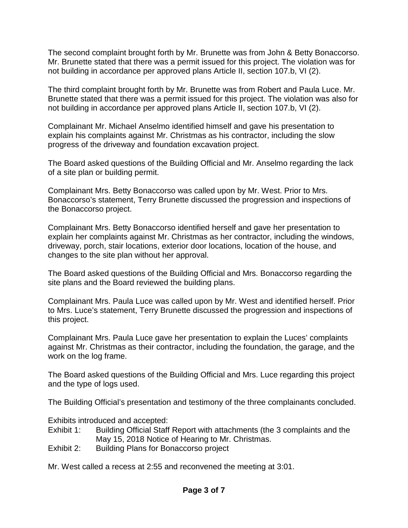The second complaint brought forth by Mr. Brunette was from John & Betty Bonaccorso. Mr. Brunette stated that there was a permit issued for this project. The violation was for not building in accordance per approved plans Article II, section 107.b, VI (2).

The third complaint brought forth by Mr. Brunette was from Robert and Paula Luce. Mr. Brunette stated that there was a permit issued for this project. The violation was also for not building in accordance per approved plans Article II, section 107.b, VI (2).

Complainant Mr. Michael Anselmo identified himself and gave his presentation to explain his complaints against Mr. Christmas as his contractor, including the slow progress of the driveway and foundation excavation project.

The Board asked questions of the Building Official and Mr. Anselmo regarding the lack of a site plan or building permit.

Complainant Mrs. Betty Bonaccorso was called upon by Mr. West. Prior to Mrs. Bonaccorso's statement, Terry Brunette discussed the progression and inspections of the Bonaccorso project.

Complainant Mrs. Betty Bonaccorso identified herself and gave her presentation to explain her complaints against Mr. Christmas as her contractor, including the windows, driveway, porch, stair locations, exterior door locations, location of the house, and changes to the site plan without her approval.

The Board asked questions of the Building Official and Mrs. Bonaccorso regarding the site plans and the Board reviewed the building plans.

Complainant Mrs. Paula Luce was called upon by Mr. West and identified herself. Prior to Mrs. Luce's statement, Terry Brunette discussed the progression and inspections of this project.

Complainant Mrs. Paula Luce gave her presentation to explain the Luces' complaints against Mr. Christmas as their contractor, including the foundation, the garage, and the work on the log frame.

The Board asked questions of the Building Official and Mrs. Luce regarding this project and the type of logs used.

The Building Official's presentation and testimony of the three complainants concluded.

Exhibits introduced and accepted:

- Exhibit 1: Building Official Staff Report with attachments (the 3 complaints and the May 15, 2018 Notice of Hearing to Mr. Christmas.
- Exhibit 2: Building Plans for Bonaccorso project

Mr. West called a recess at 2:55 and reconvened the meeting at 3:01.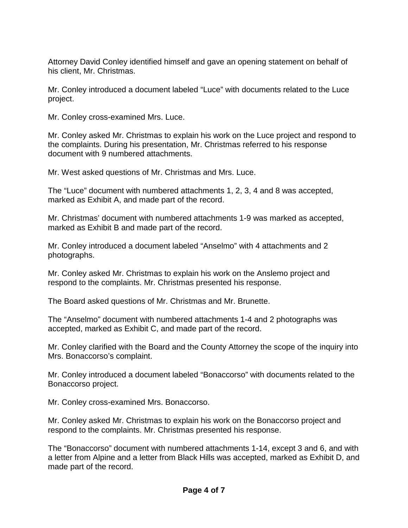Attorney David Conley identified himself and gave an opening statement on behalf of his client, Mr. Christmas.

Mr. Conley introduced a document labeled "Luce" with documents related to the Luce project.

Mr. Conley cross-examined Mrs. Luce.

Mr. Conley asked Mr. Christmas to explain his work on the Luce project and respond to the complaints. During his presentation, Mr. Christmas referred to his response document with 9 numbered attachments.

Mr. West asked questions of Mr. Christmas and Mrs. Luce.

The "Luce" document with numbered attachments 1, 2, 3, 4 and 8 was accepted, marked as Exhibit A, and made part of the record.

Mr. Christmas' document with numbered attachments 1-9 was marked as accepted, marked as Exhibit B and made part of the record.

Mr. Conley introduced a document labeled "Anselmo" with 4 attachments and 2 photographs.

Mr. Conley asked Mr. Christmas to explain his work on the Anslemo project and respond to the complaints. Mr. Christmas presented his response.

The Board asked questions of Mr. Christmas and Mr. Brunette.

The "Anselmo" document with numbered attachments 1-4 and 2 photographs was accepted, marked as Exhibit C, and made part of the record.

Mr. Conley clarified with the Board and the County Attorney the scope of the inquiry into Mrs. Bonaccorso's complaint.

Mr. Conley introduced a document labeled "Bonaccorso" with documents related to the Bonaccorso project.

Mr. Conley cross-examined Mrs. Bonaccorso.

Mr. Conley asked Mr. Christmas to explain his work on the Bonaccorso project and respond to the complaints. Mr. Christmas presented his response.

The "Bonaccorso" document with numbered attachments 1-14, except 3 and 6, and with a letter from Alpine and a letter from Black Hills was accepted, marked as Exhibit D, and made part of the record.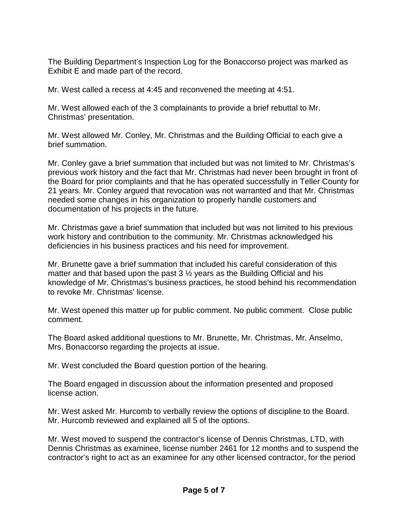The Building Department's Inspection Log for the Bonaccorso project was marked as Exhibit E and made part of the record.

Mr. West called a recess at 4:45 and reconvened the meeting at 4:51.

Mr. West allowed each of the 3 complainants to provide a brief rebuttal to Mr. Christmas' presentation.

Mr. West allowed Mr. Conley, Mr. Christmas and the Building Official to each give a brief summation.

Mr. Conley gave a brief summation that included but was not limited to Mr. Christmas's previous work history and the fact that Mr. Christmas had never been brought in front of the Board for prior complaints and that he has operated successfully in Teller County for 21 years. Mr. Conley argued that revocation was not warranted and that Mr. Christmas needed some changes in his organization to properly handle customers and documentation of his projects in the future.

Mr. Christmas gave a brief summation that included but was not limited to his previous work history and contribution to the community. Mr. Christmas acknowledged his deficiencies in his business practices and his need for improvement.

Mr. Brunette gave a brief summation that included his careful consideration of this matter and that based upon the past  $3\frac{1}{2}$  years as the Building Official and his knowledge of Mr. Christmas's business practices, he stood behind his recommendation to revoke Mr. Christmas' license.

Mr. West opened this matter up for public comment. No public comment. Close public comment.

The Board asked additional questions to Mr. Brunette, Mr. Christmas, Mr. Anselmo, Mrs. Bonaccorso regarding the projects at issue.

Mr. West concluded the Board question portion of the hearing.

The Board engaged in discussion about the information presented and proposed license action.

Mr. West asked Mr. Hurcomb to verbally review the options of discipline to the Board. Mr. Hurcomb reviewed and explained all 5 of the options.

Mr. West moved to suspend the contractor's license of Dennis Christmas, LTD, with Dennis Christmas as examinee, license number 2461 for 12 months and to suspend the contractor's right to act as an examinee for any other licensed contractor, for the period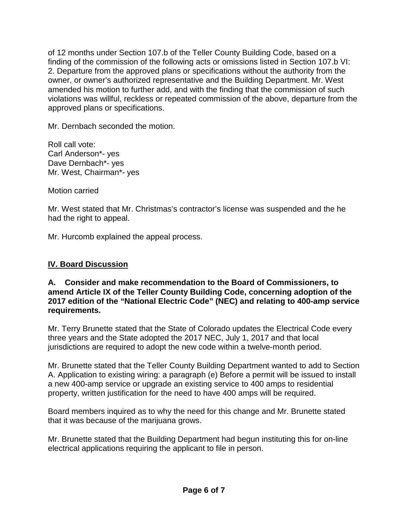of 12 months under Section 107.b of the Teller County Building Code, based on a finding of the commission of the following acts or omissions listed in Section 107.b VI: 2. Departure from the approved plans or specifications without the authority from the owner, or owner's authorized representative and the Building Department. Mr. West amended his motion to further add, and with the finding that the commission of such violations was willful, reckless or repeated commission of the above, departure from the approved plans or specifications.

Mr. Dernbach seconded the motion.

Roll call vote: Carl Anderson\*- yes Dave Dernbach\*- yes Mr. West, Chairman\*- yes

Motion carried

Mr. West stated that Mr. Christmas's contractor's license was suspended and the he had the right to appeal.

Mr. Hurcomb explained the appeal process.

# **IV. Board Discussion**

### **A. Consider and make recommendation to the Board of Commissioners, to amend Article IX of the Teller County Building Code, concerning adoption of the 2017 edition of the "National Electric Code" (NEC) and relating to 400-amp service requirements.**

Mr. Terry Brunette stated that the State of Colorado updates the Electrical Code every three years and the State adopted the 2017 NEC, July 1, 2017 and that local jurisdictions are required to adopt the new code within a twelve-month period.

Mr. Brunette stated that the Teller County Building Department wanted to add to Section A. Application to existing wiring: a paragraph (e) Before a permit will be issued to install a new 400-amp service or upgrade an existing service to 400 amps to residential property, written justification for the need to have 400 amps will be required.

Board members inquired as to why the need for this change and Mr. Brunette stated that it was because of the marijuana grows.

Mr. Brunette stated that the Building Department had begun instituting this for on-line electrical applications requiring the applicant to file in person.